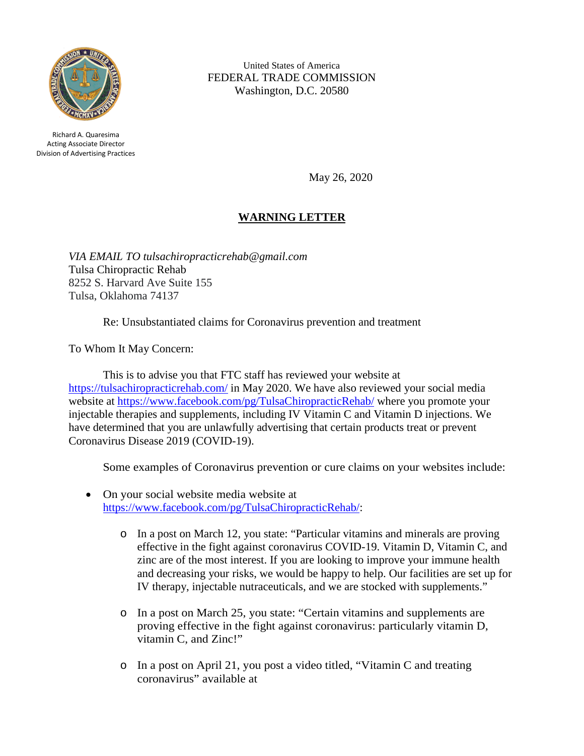

Richard A. Quaresima Acting Associate Director Division of Advertising Practices

United States of America FEDERAL TRADE COMMISSION Washington, D.C. 20580

May 26, 2020

## **WARNING LETTER**

*VIA EMAIL TO tulsachiropracticrehab@gmail.com* Tulsa Chiropractic Rehab 8252 S. Harvard Ave Suite 155 Tulsa, Oklahoma 74137

Re: Unsubstantiated claims for Coronavirus prevention and treatment

To Whom It May Concern:

This is to advise you that FTC staff has reviewed your website at <https://tulsachiropracticrehab.com/> in May 2020. We have also reviewed your social media website at<https://www.facebook.com/pg/TulsaChiropracticRehab/> where you promote your injectable therapies and supplements, including IV Vitamin C and Vitamin D injections. We have determined that you are unlawfully advertising that certain products treat or prevent Coronavirus Disease 2019 (COVID-19).

Some examples of Coronavirus prevention or cure claims on your websites include:

- On your social website media website at [https://www.facebook.com/pg/TulsaChiropracticRehab/:](https://www.facebook.com/pg/TulsaChiropracticRehab/)
	- o In a post on March 12, you state: "Particular vitamins and minerals are proving effective in the fight against coronavirus COVID-19. Vitamin D, Vitamin C, and zinc are of the most interest. If you are looking to improve your immune health and decreasing your risks, we would be happy to help. Our facilities are set up for IV therapy, injectable nutraceuticals, and we are stocked with supplements."
	- o In a post on March 25, you state: "Certain vitamins and supplements are proving effective in the fight against coronavirus: particularly vitamin D, vitamin C, and Zinc!"
	- o In a post on April 21, you post a video titled, "Vitamin C and treating coronavirus" available at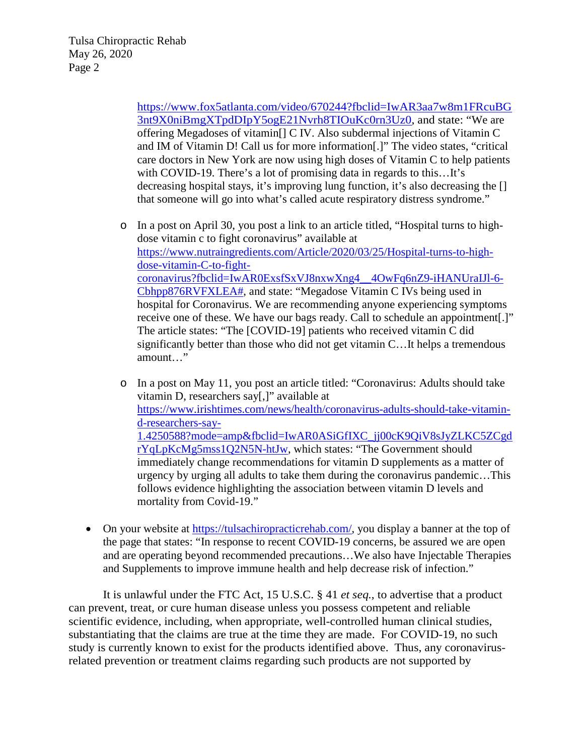[https://www.fox5atlanta.com/video/670244?fbclid=IwAR3aa7w8m1FRcuBG](https://www.fox5atlanta.com/video/670244?fbclid=IwAR3aa7w8m1FRcuBG3nt9X0niBmgXTpdDIpY5ogE21Nvrh8TIOuKc0rn3Uz0) [3nt9X0niBmgXTpdDIpY5ogE21Nvrh8TIOuKc0rn3Uz0,](https://www.fox5atlanta.com/video/670244?fbclid=IwAR3aa7w8m1FRcuBG3nt9X0niBmgXTpdDIpY5ogE21Nvrh8TIOuKc0rn3Uz0) and state: "We are offering Megadoses of vitamin[] C IV. Also subdermal injections of Vitamin C and IM of Vitamin D! Call us for more information[.]" The video states, "critical care doctors in New York are now using high doses of Vitamin C to help patients with COVID-19. There's a lot of promising data in regards to this...It's decreasing hospital stays, it's improving lung function, it's also decreasing the [] that someone will go into what's called acute respiratory distress syndrome."

- o In a post on April 30, you post a link to an article titled, "Hospital turns to highdose vitamin c to fight coronavirus" available at [https://www.nutraingredients.com/Article/2020/03/25/Hospital-turns-to-high](https://www.nutraingredients.com/Article/2020/03/25/Hospital-turns-to-high-dose-vitamin-C-to-fight-coronavirus?fbclid=IwAR0ExsfSxVJ8nxwXng4__4OwFq6nZ9-iHANUraIJl-6-Cbhpp876RVFXLEA)[dose-vitamin-C-to-fight](https://www.nutraingredients.com/Article/2020/03/25/Hospital-turns-to-high-dose-vitamin-C-to-fight-coronavirus?fbclid=IwAR0ExsfSxVJ8nxwXng4__4OwFq6nZ9-iHANUraIJl-6-Cbhpp876RVFXLEA)[coronavirus?fbclid=IwAR0ExsfSxVJ8nxwXng4\\_\\_4OwFq6nZ9-iHANUraIJl-6-](https://www.nutraingredients.com/Article/2020/03/25/Hospital-turns-to-high-dose-vitamin-C-to-fight-coronavirus?fbclid=IwAR0ExsfSxVJ8nxwXng4__4OwFq6nZ9-iHANUraIJl-6-Cbhpp876RVFXLEA) [Cbhpp876RVFXLEA#,](https://www.nutraingredients.com/Article/2020/03/25/Hospital-turns-to-high-dose-vitamin-C-to-fight-coronavirus?fbclid=IwAR0ExsfSxVJ8nxwXng4__4OwFq6nZ9-iHANUraIJl-6-Cbhpp876RVFXLEA) and state: "Megadose Vitamin C IVs being used in hospital for Coronavirus. We are recommending anyone experiencing symptoms receive one of these. We have our bags ready. Call to schedule an appointment[.]" The article states: "The [COVID-19] patients who received vitamin C did significantly better than those who did not get vitamin C…It helps a tremendous amount…"
- o In a post on May 11, you post an article titled: "Coronavirus: Adults should take vitamin D, researchers say[,]" available at [https://www.irishtimes.com/news/health/coronavirus-adults-should-take-vitamin](https://www.irishtimes.com/news/health/coronavirus-adults-should-take-vitamin-d-researchers-say-1.4250588?mode=amp&fbclid=IwAR0ASiGfIXC_jj00cK9QiV8sJyZLKC5ZCgdrYqLpKcMg5mss1Q2N5N-htJw)[d-researchers-say-](https://www.irishtimes.com/news/health/coronavirus-adults-should-take-vitamin-d-researchers-say-1.4250588?mode=amp&fbclid=IwAR0ASiGfIXC_jj00cK9QiV8sJyZLKC5ZCgdrYqLpKcMg5mss1Q2N5N-htJw)[1.4250588?mode=amp&fbclid=IwAR0ASiGfIXC\\_jj00cK9QiV8sJyZLKC5ZCgd](https://www.irishtimes.com/news/health/coronavirus-adults-should-take-vitamin-d-researchers-say-1.4250588?mode=amp&fbclid=IwAR0ASiGfIXC_jj00cK9QiV8sJyZLKC5ZCgdrYqLpKcMg5mss1Q2N5N-htJw) [rYqLpKcMg5mss1Q2N5N-htJw,](https://www.irishtimes.com/news/health/coronavirus-adults-should-take-vitamin-d-researchers-say-1.4250588?mode=amp&fbclid=IwAR0ASiGfIXC_jj00cK9QiV8sJyZLKC5ZCgdrYqLpKcMg5mss1Q2N5N-htJw) which states: "The Government should immediately change recommendations for vitamin D supplements as a matter of urgency by urging all adults to take them during the coronavirus pandemic…This follows evidence highlighting the association between vitamin D levels and mortality from Covid-19."
- On your website at [https://tulsachiropracticrehab.com/,](https://tulsachiropracticrehab.com/) you display a banner at the top of the page that states: "In response to recent COVID-19 concerns, be assured we are open and are operating beyond recommended precautions…We also have Injectable Therapies and Supplements to improve immune health and help decrease risk of infection."

It is unlawful under the FTC Act, 15 U.S.C. § 41 *et seq.*, to advertise that a product can prevent, treat, or cure human disease unless you possess competent and reliable scientific evidence, including, when appropriate, well-controlled human clinical studies, substantiating that the claims are true at the time they are made. For COVID-19, no such study is currently known to exist for the products identified above. Thus, any coronavirusrelated prevention or treatment claims regarding such products are not supported by